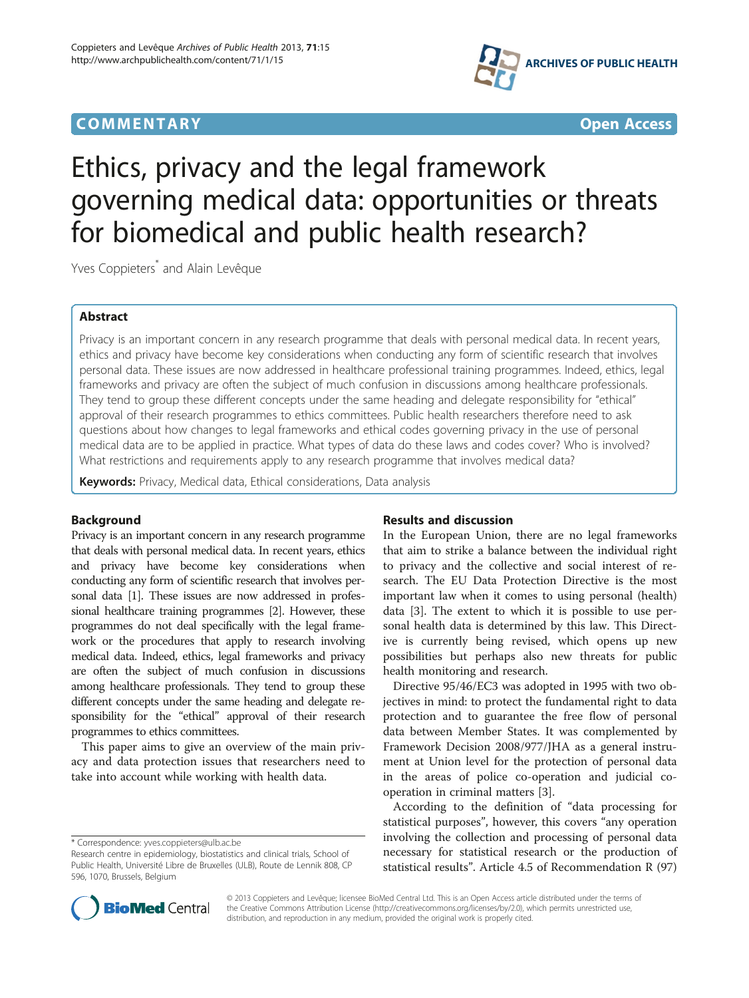## **COMMENTARY COMMENTARY Open Access**



# Ethics, privacy and the legal framework governing medical data: opportunities or threats for biomedical and public health research?

Yves Coppieters<sup>\*</sup> and Alain Levêque

## Abstract

Privacy is an important concern in any research programme that deals with personal medical data. In recent years, ethics and privacy have become key considerations when conducting any form of scientific research that involves personal data. These issues are now addressed in healthcare professional training programmes. Indeed, ethics, legal frameworks and privacy are often the subject of much confusion in discussions among healthcare professionals. They tend to group these different concepts under the same heading and delegate responsibility for "ethical" approval of their research programmes to ethics committees. Public health researchers therefore need to ask questions about how changes to legal frameworks and ethical codes governing privacy in the use of personal medical data are to be applied in practice. What types of data do these laws and codes cover? Who is involved? What restrictions and requirements apply to any research programme that involves medical data?

Keywords: Privacy, Medical data, Ethical considerations, Data analysis

## Background

Privacy is an important concern in any research programme that deals with personal medical data. In recent years, ethics and privacy have become key considerations when conducting any form of scientific research that involves personal data [\[1](#page-3-0)]. These issues are now addressed in professional healthcare training programmes [[2](#page-3-0)]. However, these programmes do not deal specifically with the legal framework or the procedures that apply to research involving medical data. Indeed, ethics, legal frameworks and privacy are often the subject of much confusion in discussions among healthcare professionals. They tend to group these different concepts under the same heading and delegate responsibility for the "ethical" approval of their research programmes to ethics committees.

This paper aims to give an overview of the main privacy and data protection issues that researchers need to take into account while working with health data.

## Results and discussion

In the European Union, there are no legal frameworks that aim to strike a balance between the individual right to privacy and the collective and social interest of research. The EU Data Protection Directive is the most important law when it comes to using personal (health) data [\[3](#page-3-0)]. The extent to which it is possible to use personal health data is determined by this law. This Directive is currently being revised, which opens up new possibilities but perhaps also new threats for public health monitoring and research.

Directive 95/46/EC3 was adopted in 1995 with two objectives in mind: to protect the fundamental right to data protection and to guarantee the free flow of personal data between Member States. It was complemented by Framework Decision 2008/977/JHA as a general instrument at Union level for the protection of personal data in the areas of police co-operation and judicial cooperation in criminal matters [\[3](#page-3-0)].

According to the definition of "data processing for statistical purposes", however, this covers "any operation involving the collection and processing of personal data necessary for statistical research or the production of statistical results". Article 4.5 of Recommendation R (97)



© 2013 Coppieters and Levêque; licensee BioMed Central Ltd. This is an Open Access article distributed under the terms of the Creative Commons Attribution License [\(http://creativecommons.org/licenses/by/2.0\)](http://creativecommons.org/licenses/by/2.0), which permits unrestricted use, distribution, and reproduction in any medium, provided the original work is properly cited.

<sup>\*</sup> Correspondence: [yves.coppieters@ulb.ac.be](mailto:yves.coppieters@ulb.ac.be)

Research centre in epidemiology, biostatistics and clinical trials, School of Public Health, Université Libre de Bruxelles (ULB), Route de Lennik 808, CP 596, 1070, Brussels, Belgium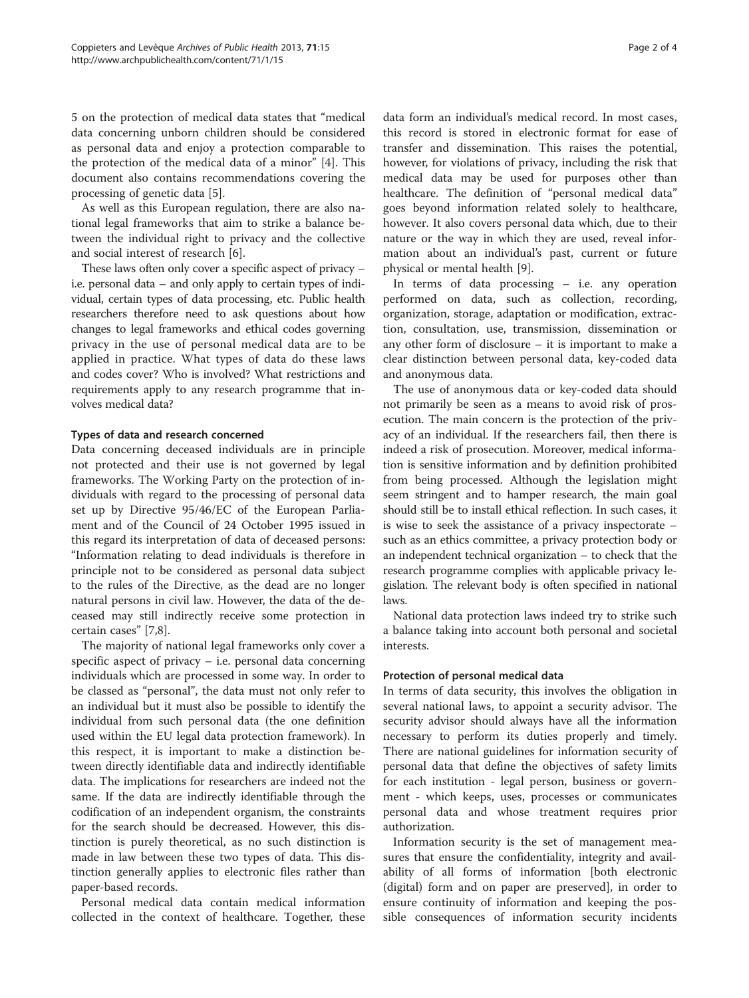5 on the protection of medical data states that "medical data concerning unborn children should be considered as personal data and enjoy a protection comparable to the protection of the medical data of a minor" [[4](#page-3-0)]. This document also contains recommendations covering the processing of genetic data [[5\]](#page-3-0).

As well as this European regulation, there are also national legal frameworks that aim to strike a balance between the individual right to privacy and the collective and social interest of research [[6\]](#page-3-0).

These laws often only cover a specific aspect of privacy – i.e. personal data – and only apply to certain types of individual, certain types of data processing, etc. Public health researchers therefore need to ask questions about how changes to legal frameworks and ethical codes governing privacy in the use of personal medical data are to be applied in practice. What types of data do these laws and codes cover? Who is involved? What restrictions and requirements apply to any research programme that involves medical data?

#### Types of data and research concerned

Data concerning deceased individuals are in principle not protected and their use is not governed by legal frameworks. The Working Party on the protection of individuals with regard to the processing of personal data set up by Directive 95/46/EC of the European Parliament and of the Council of 24 October 1995 issued in this regard its interpretation of data of deceased persons: "Information relating to dead individuals is therefore in principle not to be considered as personal data subject to the rules of the Directive, as the dead are no longer natural persons in civil law. However, the data of the deceased may still indirectly receive some protection in certain cases" [\[7,8](#page-3-0)].

The majority of national legal frameworks only cover a specific aspect of privacy  $-$  i.e. personal data concerning individuals which are processed in some way. In order to be classed as "personal", the data must not only refer to an individual but it must also be possible to identify the individual from such personal data (the one definition used within the EU legal data protection framework). In this respect, it is important to make a distinction between directly identifiable data and indirectly identifiable data. The implications for researchers are indeed not the same. If the data are indirectly identifiable through the codification of an independent organism, the constraints for the search should be decreased. However, this distinction is purely theoretical, as no such distinction is made in law between these two types of data. This distinction generally applies to electronic files rather than paper-based records.

Personal medical data contain medical information collected in the context of healthcare. Together, these

data form an individual's medical record. In most cases, this record is stored in electronic format for ease of transfer and dissemination. This raises the potential, however, for violations of privacy, including the risk that medical data may be used for purposes other than healthcare. The definition of "personal medical data" goes beyond information related solely to healthcare, however. It also covers personal data which, due to their nature or the way in which they are used, reveal information about an individual's past, current or future physical or mental health [\[9](#page-3-0)].

In terms of data processing – i.e. any operation performed on data, such as collection, recording, organization, storage, adaptation or modification, extraction, consultation, use, transmission, dissemination or any other form of disclosure – it is important to make a clear distinction between personal data, key-coded data and anonymous data.

The use of anonymous data or key-coded data should not primarily be seen as a means to avoid risk of prosecution. The main concern is the protection of the privacy of an individual. If the researchers fail, then there is indeed a risk of prosecution. Moreover, medical information is sensitive information and by definition prohibited from being processed. Although the legislation might seem stringent and to hamper research, the main goal should still be to install ethical reflection. In such cases, it is wise to seek the assistance of a privacy inspectorate – such as an ethics committee, a privacy protection body or an independent technical organization – to check that the research programme complies with applicable privacy legislation. The relevant body is often specified in national laws.

National data protection laws indeed try to strike such a balance taking into account both personal and societal interests.

#### Protection of personal medical data

In terms of data security, this involves the obligation in several national laws, to appoint a security advisor. The security advisor should always have all the information necessary to perform its duties properly and timely. There are national guidelines for information security of personal data that define the objectives of safety limits for each institution - legal person, business or government - which keeps, uses, processes or communicates personal data and whose treatment requires prior authorization.

Information security is the set of management measures that ensure the confidentiality, integrity and availability of all forms of information [both electronic (digital) form and on paper are preserved], in order to ensure continuity of information and keeping the possible consequences of information security incidents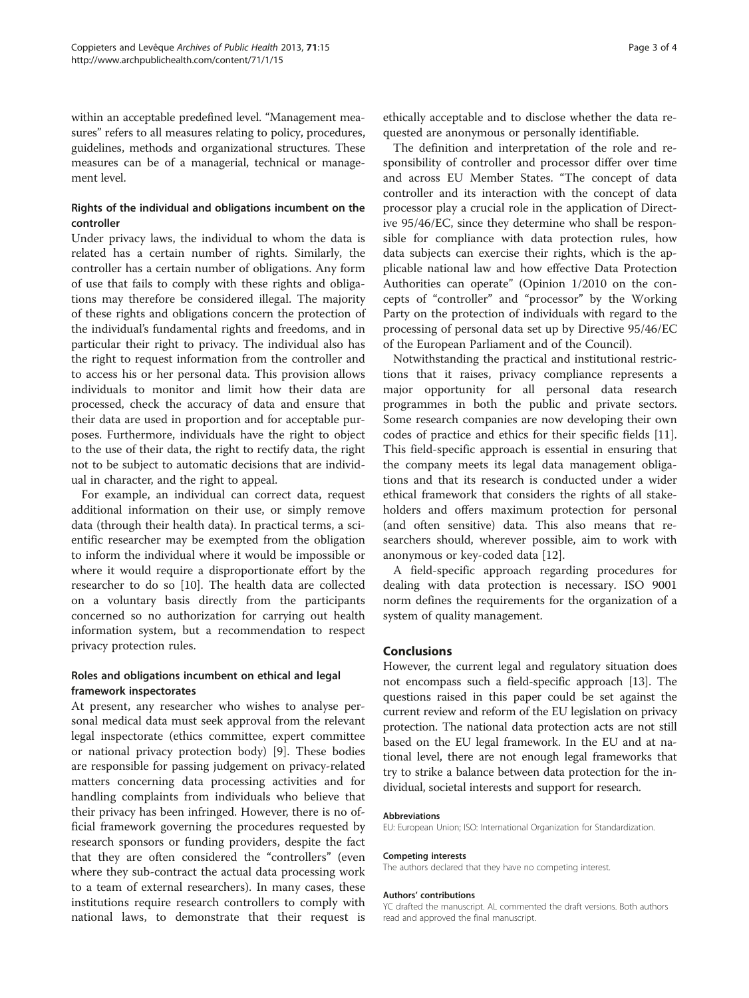within an acceptable predefined level. "Management measures" refers to all measures relating to policy, procedures, guidelines, methods and organizational structures. These measures can be of a managerial, technical or management level.

## Rights of the individual and obligations incumbent on the controller

Under privacy laws, the individual to whom the data is related has a certain number of rights. Similarly, the controller has a certain number of obligations. Any form of use that fails to comply with these rights and obligations may therefore be considered illegal. The majority of these rights and obligations concern the protection of the individual's fundamental rights and freedoms, and in particular their right to privacy. The individual also has the right to request information from the controller and to access his or her personal data. This provision allows individuals to monitor and limit how their data are processed, check the accuracy of data and ensure that their data are used in proportion and for acceptable purposes. Furthermore, individuals have the right to object to the use of their data, the right to rectify data, the right not to be subject to automatic decisions that are individual in character, and the right to appeal.

For example, an individual can correct data, request additional information on their use, or simply remove data (through their health data). In practical terms, a scientific researcher may be exempted from the obligation to inform the individual where it would be impossible or where it would require a disproportionate effort by the researcher to do so [[10](#page-3-0)]. The health data are collected on a voluntary basis directly from the participants concerned so no authorization for carrying out health information system, but a recommendation to respect privacy protection rules.

## Roles and obligations incumbent on ethical and legal framework inspectorates

At present, any researcher who wishes to analyse personal medical data must seek approval from the relevant legal inspectorate (ethics committee, expert committee or national privacy protection body) [\[9](#page-3-0)]. These bodies are responsible for passing judgement on privacy-related matters concerning data processing activities and for handling complaints from individuals who believe that their privacy has been infringed. However, there is no official framework governing the procedures requested by research sponsors or funding providers, despite the fact that they are often considered the "controllers" (even where they sub-contract the actual data processing work to a team of external researchers). In many cases, these institutions require research controllers to comply with national laws, to demonstrate that their request is

ethically acceptable and to disclose whether the data requested are anonymous or personally identifiable.

The definition and interpretation of the role and responsibility of controller and processor differ over time and across EU Member States. "The concept of data controller and its interaction with the concept of data processor play a crucial role in the application of Directive 95/46/EC, since they determine who shall be responsible for compliance with data protection rules, how data subjects can exercise their rights, which is the applicable national law and how effective Data Protection Authorities can operate" (Opinion 1/2010 on the concepts of "controller" and "processor" by the Working Party on the protection of individuals with regard to the processing of personal data set up by Directive 95/46/EC of the European Parliament and of the Council).

Notwithstanding the practical and institutional restrictions that it raises, privacy compliance represents a major opportunity for all personal data research programmes in both the public and private sectors. Some research companies are now developing their own codes of practice and ethics for their specific fields [\[11](#page-3-0)]. This field-specific approach is essential in ensuring that the company meets its legal data management obligations and that its research is conducted under a wider ethical framework that considers the rights of all stakeholders and offers maximum protection for personal (and often sensitive) data. This also means that researchers should, wherever possible, aim to work with anonymous or key-coded data [\[12](#page-3-0)].

A field-specific approach regarding procedures for dealing with data protection is necessary. ISO 9001 norm defines the requirements for the organization of a system of quality management.

## Conclusions

However, the current legal and regulatory situation does not encompass such a field-specific approach [\[13\]](#page-3-0). The questions raised in this paper could be set against the current review and reform of the EU legislation on privacy protection. The national data protection acts are not still based on the EU legal framework. In the EU and at national level, there are not enough legal frameworks that try to strike a balance between data protection for the individual, societal interests and support for research.

#### Abbreviations

EU: European Union; ISO: International Organization for Standardization.

#### Competing interests

The authors declared that they have no competing interest.

#### Authors' contributions

YC drafted the manuscript. AL commented the draft versions. Both authors read and approved the final manuscript.